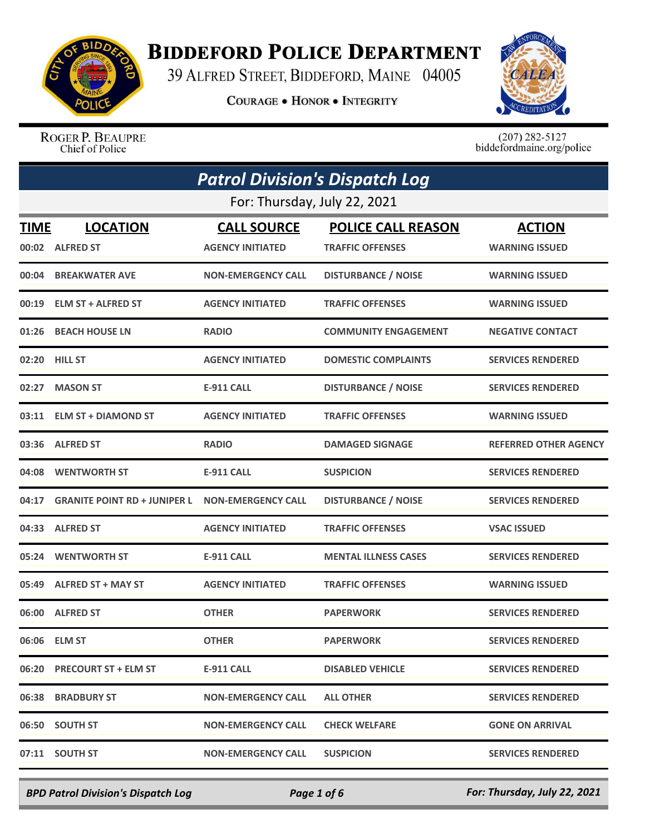

## **BIDDEFORD POLICE DEPARTMENT**

39 ALFRED STREET, BIDDEFORD, MAINE 04005

**COURAGE . HONOR . INTEGRITY** 



ROGER P. BEAUPRE Chief of Police

 $(207)$  282-5127<br>biddefordmaine.org/police

| <b>Patrol Division's Dispatch Log</b><br>For: Thursday, July 22, 2021 |                                     |                           |                             |                              |
|-----------------------------------------------------------------------|-------------------------------------|---------------------------|-----------------------------|------------------------------|
|                                                                       |                                     |                           |                             |                              |
| 00:04                                                                 | <b>BREAKWATER AVE</b>               | <b>NON-EMERGENCY CALL</b> | <b>DISTURBANCE / NOISE</b>  | <b>WARNING ISSUED</b>        |
| 00:19                                                                 | <b>ELM ST + ALFRED ST</b>           | <b>AGENCY INITIATED</b>   | <b>TRAFFIC OFFENSES</b>     | <b>WARNING ISSUED</b>        |
| 01:26                                                                 | <b>BEACH HOUSE LN</b>               | <b>RADIO</b>              | <b>COMMUNITY ENGAGEMENT</b> | <b>NEGATIVE CONTACT</b>      |
| 02:20                                                                 | <b>HILL ST</b>                      | <b>AGENCY INITIATED</b>   | <b>DOMESTIC COMPLAINTS</b>  | <b>SERVICES RENDERED</b>     |
| 02:27                                                                 | <b>MASON ST</b>                     | <b>E-911 CALL</b>         | <b>DISTURBANCE / NOISE</b>  | <b>SERVICES RENDERED</b>     |
| 03:11                                                                 | <b>ELM ST + DIAMOND ST</b>          | <b>AGENCY INITIATED</b>   | <b>TRAFFIC OFFENSES</b>     | <b>WARNING ISSUED</b>        |
| 03:36                                                                 | <b>ALFRED ST</b>                    | <b>RADIO</b>              | <b>DAMAGED SIGNAGE</b>      | <b>REFERRED OTHER AGENCY</b> |
| 04:08                                                                 | <b>WENTWORTH ST</b>                 | <b>E-911 CALL</b>         | <b>SUSPICION</b>            | <b>SERVICES RENDERED</b>     |
| 04:17                                                                 | <b>GRANITE POINT RD + JUNIPER L</b> | <b>NON-EMERGENCY CALL</b> | <b>DISTURBANCE / NOISE</b>  | <b>SERVICES RENDERED</b>     |
| 04:33                                                                 | <b>ALFRED ST</b>                    | <b>AGENCY INITIATED</b>   | <b>TRAFFIC OFFENSES</b>     | <b>VSAC ISSUED</b>           |
| 05:24                                                                 | <b>WENTWORTH ST</b>                 | <b>E-911 CALL</b>         | <b>MENTAL ILLNESS CASES</b> | <b>SERVICES RENDERED</b>     |
| 05:49                                                                 | <b>ALFRED ST + MAY ST</b>           | <b>AGENCY INITIATED</b>   | <b>TRAFFIC OFFENSES</b>     | <b>WARNING ISSUED</b>        |
| 06:00                                                                 | <b>ALFRED ST</b>                    | <b>OTHER</b>              | <b>PAPERWORK</b>            | <b>SERVICES RENDERED</b>     |
|                                                                       | 06:06 ELM ST                        | <b>OTHER</b>              | <b>PAPERWORK</b>            | <b>SERVICES RENDERED</b>     |
|                                                                       | 06:20 PRECOURT ST + ELM ST          | <b>E-911 CALL</b>         | <b>DISABLED VEHICLE</b>     | <b>SERVICES RENDERED</b>     |
|                                                                       | 06:38 BRADBURY ST                   | <b>NON-EMERGENCY CALL</b> | <b>ALL OTHER</b>            | <b>SERVICES RENDERED</b>     |
|                                                                       | 06:50 SOUTH ST                      | <b>NON-EMERGENCY CALL</b> | <b>CHECK WELFARE</b>        | <b>GONE ON ARRIVAL</b>       |
|                                                                       | 07:11 SOUTH ST                      | <b>NON-EMERGENCY CALL</b> | <b>SUSPICION</b>            | <b>SERVICES RENDERED</b>     |

*BPD Patrol Division's Dispatch Log Page 1 of 6 For: Thursday, July 22, 2021*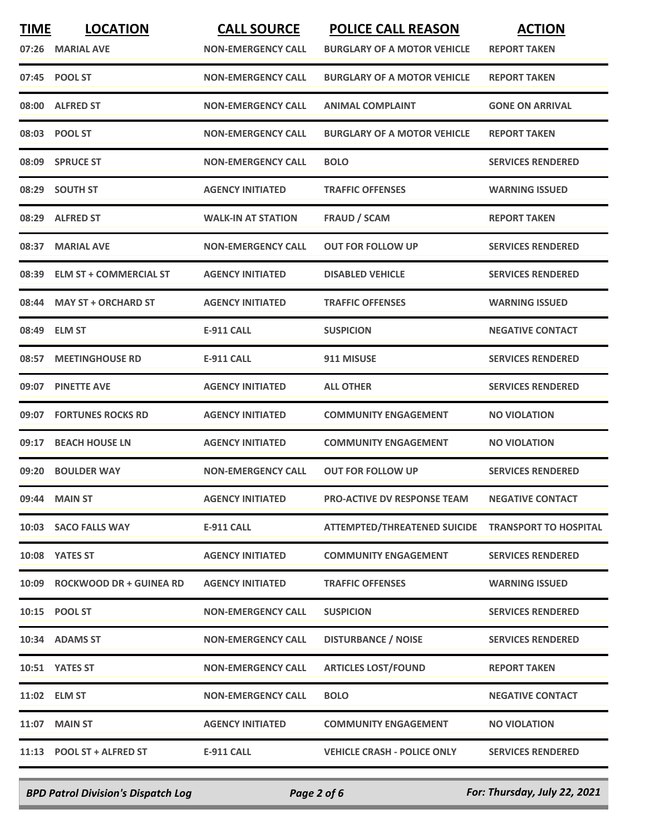| <b>TIME</b> | <b>LOCATION</b>               | <b>CALL SOURCE</b>        | <b>POLICE CALL REASON</b>           | <b>ACTION</b>                |
|-------------|-------------------------------|---------------------------|-------------------------------------|------------------------------|
|             | 07:26 MARIAL AVE              | <b>NON-EMERGENCY CALL</b> | <b>BURGLARY OF A MOTOR VEHICLE</b>  | <b>REPORT TAKEN</b>          |
|             | 07:45 POOL ST                 | <b>NON-EMERGENCY CALL</b> | <b>BURGLARY OF A MOTOR VEHICLE</b>  | <b>REPORT TAKEN</b>          |
| 08:00       | <b>ALFRED ST</b>              | <b>NON-EMERGENCY CALL</b> | <b>ANIMAL COMPLAINT</b>             | <b>GONE ON ARRIVAL</b>       |
|             | 08:03 POOL ST                 | <b>NON-EMERGENCY CALL</b> | <b>BURGLARY OF A MOTOR VEHICLE</b>  | <b>REPORT TAKEN</b>          |
|             | 08:09 SPRUCE ST               | <b>NON-EMERGENCY CALL</b> | <b>BOLO</b>                         | <b>SERVICES RENDERED</b>     |
| 08:29       | <b>SOUTH ST</b>               | <b>AGENCY INITIATED</b>   | <b>TRAFFIC OFFENSES</b>             | <b>WARNING ISSUED</b>        |
| 08:29       | <b>ALFRED ST</b>              | <b>WALK-IN AT STATION</b> | <b>FRAUD / SCAM</b>                 | <b>REPORT TAKEN</b>          |
| 08:37       | <b>MARIAL AVE</b>             | <b>NON-EMERGENCY CALL</b> | <b>OUT FOR FOLLOW UP</b>            | <b>SERVICES RENDERED</b>     |
| 08:39       | <b>ELM ST + COMMERCIAL ST</b> | <b>AGENCY INITIATED</b>   | <b>DISABLED VEHICLE</b>             | <b>SERVICES RENDERED</b>     |
|             | 08:44 MAY ST + ORCHARD ST     | <b>AGENCY INITIATED</b>   | <b>TRAFFIC OFFENSES</b>             | <b>WARNING ISSUED</b>        |
| 08:49       | <b>ELM ST</b>                 | <b>E-911 CALL</b>         | <b>SUSPICION</b>                    | <b>NEGATIVE CONTACT</b>      |
| 08:57       | <b>MEETINGHOUSE RD</b>        | <b>E-911 CALL</b>         | 911 MISUSE                          | <b>SERVICES RENDERED</b>     |
| 09:07       | <b>PINETTE AVE</b>            | <b>AGENCY INITIATED</b>   | <b>ALL OTHER</b>                    | <b>SERVICES RENDERED</b>     |
| 09:07       | <b>FORTUNES ROCKS RD</b>      | <b>AGENCY INITIATED</b>   | <b>COMMUNITY ENGAGEMENT</b>         | <b>NO VIOLATION</b>          |
| 09:17       | <b>BEACH HOUSE LN</b>         | <b>AGENCY INITIATED</b>   | <b>COMMUNITY ENGAGEMENT</b>         | <b>NO VIOLATION</b>          |
| 09:20       | <b>BOULDER WAY</b>            | <b>NON-EMERGENCY CALL</b> | <b>OUT FOR FOLLOW UP</b>            | <b>SERVICES RENDERED</b>     |
|             | 09:44 MAIN ST                 | <b>AGENCY INITIATED</b>   | <b>PRO-ACTIVE DV RESPONSE TEAM</b>  | <b>NEGATIVE CONTACT</b>      |
|             | 10:03 SACO FALLS WAY          | <b>E-911 CALL</b>         | <b>ATTEMPTED/THREATENED SUICIDE</b> | <b>TRANSPORT TO HOSPITAL</b> |
|             | 10:08 YATES ST                | <b>AGENCY INITIATED</b>   | <b>COMMUNITY ENGAGEMENT</b>         | <b>SERVICES RENDERED</b>     |
|             | 10:09 ROCKWOOD DR + GUINEA RD | <b>AGENCY INITIATED</b>   | <b>TRAFFIC OFFENSES</b>             | <b>WARNING ISSUED</b>        |
|             | 10:15 POOL ST                 | <b>NON-EMERGENCY CALL</b> | <b>SUSPICION</b>                    | <b>SERVICES RENDERED</b>     |
|             | 10:34 ADAMS ST                | <b>NON-EMERGENCY CALL</b> | <b>DISTURBANCE / NOISE</b>          | <b>SERVICES RENDERED</b>     |
|             | 10:51 YATES ST                | <b>NON-EMERGENCY CALL</b> | <b>ARTICLES LOST/FOUND</b>          | <b>REPORT TAKEN</b>          |
|             | 11:02 ELM ST                  | <b>NON-EMERGENCY CALL</b> | <b>BOLO</b>                         | <b>NEGATIVE CONTACT</b>      |
|             | 11:07 MAIN ST                 | <b>AGENCY INITIATED</b>   | <b>COMMUNITY ENGAGEMENT</b>         | <b>NO VIOLATION</b>          |
|             | 11:13 POOL ST + ALFRED ST     | <b>E-911 CALL</b>         | <b>VEHICLE CRASH - POLICE ONLY</b>  | <b>SERVICES RENDERED</b>     |
|             |                               |                           |                                     |                              |

*BPD Patrol Division's Dispatch Log Page 2 of 6 For: Thursday, July 22, 2021*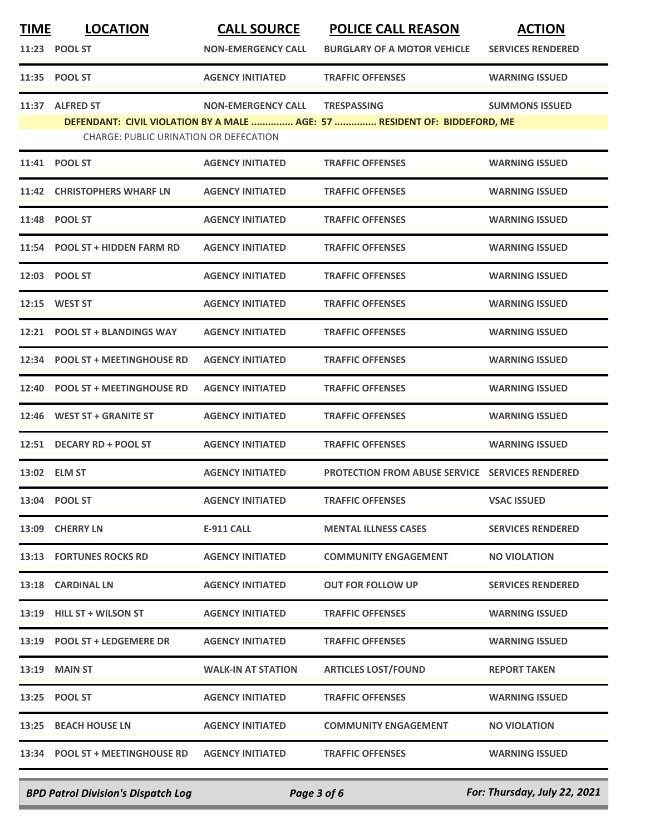| <u>TIME</u> | <b>LOCATION</b>                               | <b>CALL SOURCE</b>        | <b>POLICE CALL REASON</b>                                                                       | <b>ACTION</b>            |
|-------------|-----------------------------------------------|---------------------------|-------------------------------------------------------------------------------------------------|--------------------------|
|             | 11:23 POOL ST                                 | <b>NON-EMERGENCY CALL</b> | <b>BURGLARY OF A MOTOR VEHICLE</b>                                                              | <b>SERVICES RENDERED</b> |
|             | 11:35 POOL ST                                 | <b>AGENCY INITIATED</b>   | <b>TRAFFIC OFFENSES</b>                                                                         | <b>WARNING ISSUED</b>    |
| 11:37       | <b>ALFRED ST</b>                              | <b>NON-EMERGENCY CALL</b> | <b>TRESPASSING</b><br>DEFENDANT: CIVIL VIOLATION BY A MALE  AGE: 57  RESIDENT OF: BIDDEFORD, ME | <b>SUMMONS ISSUED</b>    |
|             | <b>CHARGE: PUBLIC URINATION OR DEFECATION</b> |                           |                                                                                                 |                          |
| 11:41       | <b>POOL ST</b>                                | <b>AGENCY INITIATED</b>   | <b>TRAFFIC OFFENSES</b>                                                                         | <b>WARNING ISSUED</b>    |
|             | 11:42 CHRISTOPHERS WHARF LN                   | <b>AGENCY INITIATED</b>   | <b>TRAFFIC OFFENSES</b>                                                                         | <b>WARNING ISSUED</b>    |
|             | 11:48 POOL ST                                 | <b>AGENCY INITIATED</b>   | <b>TRAFFIC OFFENSES</b>                                                                         | <b>WARNING ISSUED</b>    |
| 11:54       | <b>POOL ST + HIDDEN FARM RD</b>               | <b>AGENCY INITIATED</b>   | <b>TRAFFIC OFFENSES</b>                                                                         | <b>WARNING ISSUED</b>    |
|             | 12:03 POOL ST                                 | <b>AGENCY INITIATED</b>   | <b>TRAFFIC OFFENSES</b>                                                                         | <b>WARNING ISSUED</b>    |
|             | 12:15 WEST ST                                 | <b>AGENCY INITIATED</b>   | <b>TRAFFIC OFFENSES</b>                                                                         | <b>WARNING ISSUED</b>    |
|             | 12:21 POOL ST + BLANDINGS WAY                 | <b>AGENCY INITIATED</b>   | <b>TRAFFIC OFFENSES</b>                                                                         | <b>WARNING ISSUED</b>    |
| 12:34       | <b>POOL ST + MEETINGHOUSE RD</b>              | <b>AGENCY INITIATED</b>   | <b>TRAFFIC OFFENSES</b>                                                                         | <b>WARNING ISSUED</b>    |
| 12:40       | <b>POOL ST + MEETINGHOUSE RD</b>              | <b>AGENCY INITIATED</b>   | <b>TRAFFIC OFFENSES</b>                                                                         | <b>WARNING ISSUED</b>    |
| 12:46       | <b>WEST ST + GRANITE ST</b>                   | <b>AGENCY INITIATED</b>   | <b>TRAFFIC OFFENSES</b>                                                                         | <b>WARNING ISSUED</b>    |
|             | 12:51 DECARY RD + POOL ST                     | <b>AGENCY INITIATED</b>   | <b>TRAFFIC OFFENSES</b>                                                                         | <b>WARNING ISSUED</b>    |
|             | 13:02 ELM ST                                  | <b>AGENCY INITIATED</b>   | <b>PROTECTION FROM ABUSE SERVICE SERVICES RENDERED</b>                                          |                          |
|             | 13:04 POOL ST                                 | <b>AGENCY INITIATED</b>   | <b>TRAFFIC OFFENSES</b>                                                                         | <b>VSAC ISSUED</b>       |
|             | 13:09 CHERRY LN                               | <b>E-911 CALL</b>         | <b>MENTAL ILLNESS CASES</b>                                                                     | <b>SERVICES RENDERED</b> |
|             | 13:13 FORTUNES ROCKS RD                       | <b>AGENCY INITIATED</b>   | <b>COMMUNITY ENGAGEMENT</b>                                                                     | <b>NO VIOLATION</b>      |
|             | 13:18 CARDINAL LN                             | <b>AGENCY INITIATED</b>   | <b>OUT FOR FOLLOW UP</b>                                                                        | <b>SERVICES RENDERED</b> |
|             | 13:19 HILL ST + WILSON ST                     | <b>AGENCY INITIATED</b>   | <b>TRAFFIC OFFENSES</b>                                                                         | <b>WARNING ISSUED</b>    |
|             | 13:19 POOL ST + LEDGEMERE DR                  | <b>AGENCY INITIATED</b>   | <b>TRAFFIC OFFENSES</b>                                                                         | <b>WARNING ISSUED</b>    |
| 13:19       | <b>MAIN ST</b>                                | <b>WALK-IN AT STATION</b> | <b>ARTICLES LOST/FOUND</b>                                                                      | <b>REPORT TAKEN</b>      |
|             | 13:25 POOL ST                                 | <b>AGENCY INITIATED</b>   | <b>TRAFFIC OFFENSES</b>                                                                         | <b>WARNING ISSUED</b>    |
|             | 13:25 BEACH HOUSE LN                          | <b>AGENCY INITIATED</b>   | <b>COMMUNITY ENGAGEMENT</b>                                                                     | <b>NO VIOLATION</b>      |
|             | 13:34 POOL ST + MEETINGHOUSE RD               | <b>AGENCY INITIATED</b>   | <b>TRAFFIC OFFENSES</b>                                                                         | <b>WARNING ISSUED</b>    |
|             |                                               |                           |                                                                                                 |                          |

*BPD Patrol Division's Dispatch Log Page 3 of 6 For: Thursday, July 22, 2021*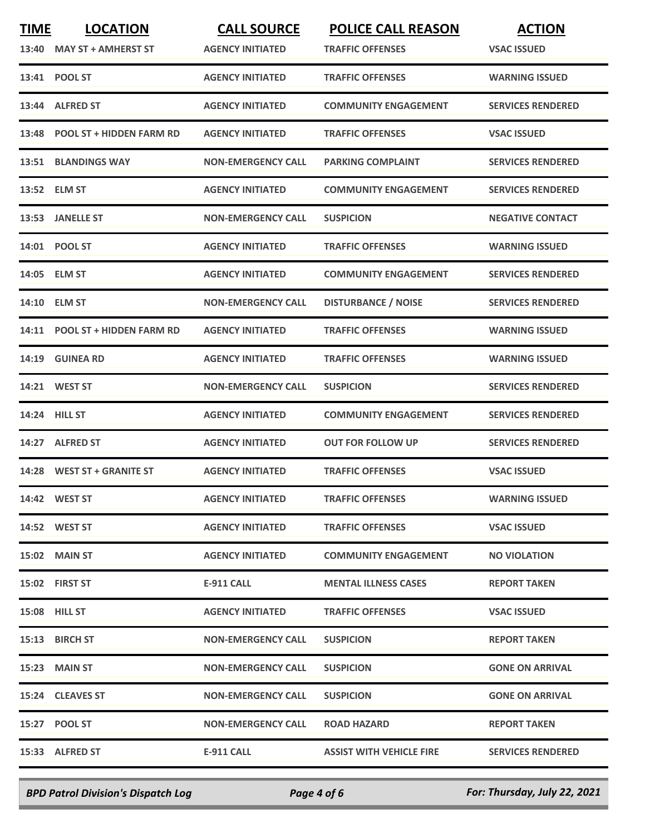| <b>TIME</b><br>13:40 | <b>LOCATION</b><br><b>MAY ST + AMHERST ST</b> | <b>CALL SOURCE</b><br><b>AGENCY INITIATED</b> | <b>POLICE CALL REASON</b><br><b>TRAFFIC OFFENSES</b> | <b>ACTION</b><br><b>VSAC ISSUED</b> |
|----------------------|-----------------------------------------------|-----------------------------------------------|------------------------------------------------------|-------------------------------------|
|                      | 13:41 POOL ST                                 | <b>AGENCY INITIATED</b>                       | <b>TRAFFIC OFFENSES</b>                              | <b>WARNING ISSUED</b>               |
|                      | 13:44 ALFRED ST                               | <b>AGENCY INITIATED</b>                       | <b>COMMUNITY ENGAGEMENT</b>                          | <b>SERVICES RENDERED</b>            |
| 13:48                | <b>POOL ST + HIDDEN FARM RD</b>               | <b>AGENCY INITIATED</b>                       | <b>TRAFFIC OFFENSES</b>                              | <b>VSAC ISSUED</b>                  |
|                      | <b>13:51 BLANDINGS WAY</b>                    | <b>NON-EMERGENCY CALL</b>                     | <b>PARKING COMPLAINT</b>                             | <b>SERVICES RENDERED</b>            |
|                      | 13:52 ELM ST                                  | <b>AGENCY INITIATED</b>                       | <b>COMMUNITY ENGAGEMENT</b>                          | <b>SERVICES RENDERED</b>            |
| 13:53                | <b>JANELLE ST</b>                             | <b>NON-EMERGENCY CALL</b>                     | <b>SUSPICION</b>                                     | <b>NEGATIVE CONTACT</b>             |
|                      | 14:01 POOL ST                                 | <b>AGENCY INITIATED</b>                       | <b>TRAFFIC OFFENSES</b>                              | <b>WARNING ISSUED</b>               |
| 14:05                | <b>ELM ST</b>                                 | <b>AGENCY INITIATED</b>                       | <b>COMMUNITY ENGAGEMENT</b>                          | <b>SERVICES RENDERED</b>            |
| 14:10                | <b>ELM ST</b>                                 | <b>NON-EMERGENCY CALL</b>                     | <b>DISTURBANCE / NOISE</b>                           | <b>SERVICES RENDERED</b>            |
| 14:11                | <b>POOL ST + HIDDEN FARM RD</b>               | <b>AGENCY INITIATED</b>                       | <b>TRAFFIC OFFENSES</b>                              | <b>WARNING ISSUED</b>               |
| 14:19                | <b>GUINEA RD</b>                              | <b>AGENCY INITIATED</b>                       | <b>TRAFFIC OFFENSES</b>                              | <b>WARNING ISSUED</b>               |
| 14:21                | <b>WEST ST</b>                                | <b>NON-EMERGENCY CALL</b>                     | <b>SUSPICION</b>                                     | <b>SERVICES RENDERED</b>            |
|                      | <b>14:24 HILL ST</b>                          | <b>AGENCY INITIATED</b>                       | <b>COMMUNITY ENGAGEMENT</b>                          | <b>SERVICES RENDERED</b>            |
|                      | 14:27 ALFRED ST                               | <b>AGENCY INITIATED</b>                       | <b>OUT FOR FOLLOW UP</b>                             | <b>SERVICES RENDERED</b>            |
|                      | 14:28 WEST ST + GRANITE ST                    | <b>AGENCY INITIATED</b>                       | <b>TRAFFIC OFFENSES</b>                              | <b>VSAC ISSUED</b>                  |
|                      | 14:42 WEST ST                                 | <b>AGENCY INITIATED</b>                       | <b>TRAFFIC OFFENSES</b>                              | <b>WARNING ISSUED</b>               |
|                      | 14:52 WEST ST                                 | <b>AGENCY INITIATED</b>                       | <b>TRAFFIC OFFENSES</b>                              | <b>VSAC ISSUED</b>                  |
|                      | <b>15:02 MAIN ST</b>                          | <b>AGENCY INITIATED</b>                       | <b>COMMUNITY ENGAGEMENT</b>                          | <b>NO VIOLATION</b>                 |
|                      | 15:02 FIRST ST                                | E-911 CALL                                    | <b>MENTAL ILLNESS CASES</b>                          | <b>REPORT TAKEN</b>                 |
|                      | <b>15:08 HILL ST</b>                          | <b>AGENCY INITIATED</b>                       | <b>TRAFFIC OFFENSES</b>                              | <b>VSAC ISSUED</b>                  |
|                      | 15:13 BIRCH ST                                | <b>NON-EMERGENCY CALL</b>                     | <b>SUSPICION</b>                                     | <b>REPORT TAKEN</b>                 |
|                      | 15:23 MAIN ST                                 | NON-EMERGENCY CALL                            | <b>SUSPICION</b>                                     | <b>GONE ON ARRIVAL</b>              |
|                      | 15:24 CLEAVES ST                              | <b>NON-EMERGENCY CALL</b>                     | <b>SUSPICION</b>                                     | <b>GONE ON ARRIVAL</b>              |
|                      | 15:27 POOL ST                                 | <b>NON-EMERGENCY CALL</b>                     | <b>ROAD HAZARD</b>                                   | <b>REPORT TAKEN</b>                 |
|                      | 15:33 ALFRED ST                               | E-911 CALL                                    | <b>ASSIST WITH VEHICLE FIRE</b>                      | <b>SERVICES RENDERED</b>            |
|                      |                                               |                                               |                                                      |                                     |

*BPD Patrol Division's Dispatch Log Page 4 of 6 For: Thursday, July 22, 2021*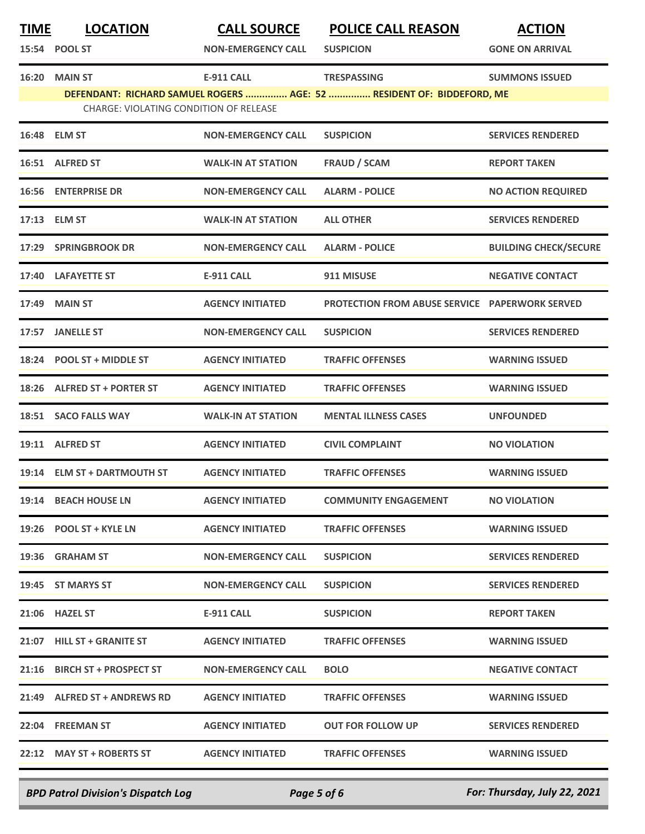| <b>TIME</b> | <b>LOCATION</b>                                                 | <b>CALL SOURCE</b>        | <b>POLICE CALL REASON</b>                                                                   | <b>ACTION</b>                |
|-------------|-----------------------------------------------------------------|---------------------------|---------------------------------------------------------------------------------------------|------------------------------|
|             | 15:54 POOL ST                                                   | <b>NON-EMERGENCY CALL</b> | <b>SUSPICION</b>                                                                            | <b>GONE ON ARRIVAL</b>       |
| 16:20       | <b>MAIN ST</b><br><b>CHARGE: VIOLATING CONDITION OF RELEASE</b> | <b>E-911 CALL</b>         | <b>TRESPASSING</b><br>DEFENDANT: RICHARD SAMUEL ROGERS  AGE: 52  RESIDENT OF: BIDDEFORD, ME | <b>SUMMONS ISSUED</b>        |
|             | 16:48 ELM ST                                                    | <b>NON-EMERGENCY CALL</b> | <b>SUSPICION</b>                                                                            | <b>SERVICES RENDERED</b>     |
|             | 16:51 ALFRED ST                                                 | <b>WALK-IN AT STATION</b> | <b>FRAUD / SCAM</b>                                                                         | <b>REPORT TAKEN</b>          |
|             | <b>16:56 ENTERPRISE DR</b>                                      | <b>NON-EMERGENCY CALL</b> | <b>ALARM - POLICE</b>                                                                       | <b>NO ACTION REQUIRED</b>    |
|             | 17:13 ELM ST                                                    | <b>WALK-IN AT STATION</b> | <b>ALL OTHER</b>                                                                            | <b>SERVICES RENDERED</b>     |
| 17:29       | <b>SPRINGBROOK DR</b>                                           | <b>NON-EMERGENCY CALL</b> | <b>ALARM - POLICE</b>                                                                       | <b>BUILDING CHECK/SECURE</b> |
| 17:40       | <b>LAFAYETTE ST</b>                                             | <b>E-911 CALL</b>         | 911 MISUSE                                                                                  | <b>NEGATIVE CONTACT</b>      |
| 17:49       | <b>MAIN ST</b>                                                  | <b>AGENCY INITIATED</b>   | <b>PROTECTION FROM ABUSE SERVICE PAPERWORK SERVED</b>                                       |                              |
|             | 17:57 JANELLE ST                                                | <b>NON-EMERGENCY CALL</b> | <b>SUSPICION</b>                                                                            | <b>SERVICES RENDERED</b>     |
| 18:24       | <b>POOL ST + MIDDLE ST</b>                                      | <b>AGENCY INITIATED</b>   | <b>TRAFFIC OFFENSES</b>                                                                     | <b>WARNING ISSUED</b>        |
| 18:26       | <b>ALFRED ST + PORTER ST</b>                                    | <b>AGENCY INITIATED</b>   | <b>TRAFFIC OFFENSES</b>                                                                     | <b>WARNING ISSUED</b>        |
|             | 18:51 SACO FALLS WAY                                            | <b>WALK-IN AT STATION</b> | <b>MENTAL ILLNESS CASES</b>                                                                 | <b>UNFOUNDED</b>             |
|             | 19:11 ALFRED ST                                                 | <b>AGENCY INITIATED</b>   | <b>CIVIL COMPLAINT</b>                                                                      | <b>NO VIOLATION</b>          |
| 19:14       | <b>ELM ST + DARTMOUTH ST</b>                                    | <b>AGENCY INITIATED</b>   | <b>TRAFFIC OFFENSES</b>                                                                     | <b>WARNING ISSUED</b>        |
|             | 19:14 BEACH HOUSE LN                                            | <b>AGENCY INITIATED</b>   | <b>COMMUNITY ENGAGEMENT</b>                                                                 | <b>NO VIOLATION</b>          |
|             | 19:26 POOL ST + KYLE LN                                         | <b>AGENCY INITIATED</b>   | <b>TRAFFIC OFFENSES</b>                                                                     | <b>WARNING ISSUED</b>        |
|             | 19:36 GRAHAM ST                                                 | <b>NON-EMERGENCY CALL</b> | <b>SUSPICION</b>                                                                            | <b>SERVICES RENDERED</b>     |
|             | 19:45 ST MARYS ST                                               | <b>NON-EMERGENCY CALL</b> | <b>SUSPICION</b>                                                                            | <b>SERVICES RENDERED</b>     |
|             | 21:06 HAZEL ST                                                  | E-911 CALL                | <b>SUSPICION</b>                                                                            | <b>REPORT TAKEN</b>          |
|             | 21:07 HILL ST + GRANITE ST                                      | <b>AGENCY INITIATED</b>   | <b>TRAFFIC OFFENSES</b>                                                                     | <b>WARNING ISSUED</b>        |
|             | 21:16 BIRCH ST + PROSPECT ST                                    | <b>NON-EMERGENCY CALL</b> | <b>BOLO</b>                                                                                 | <b>NEGATIVE CONTACT</b>      |
|             | 21:49 ALFRED ST + ANDREWS RD                                    | <b>AGENCY INITIATED</b>   | <b>TRAFFIC OFFENSES</b>                                                                     | <b>WARNING ISSUED</b>        |
|             | 22:04 FREEMAN ST                                                | <b>AGENCY INITIATED</b>   | <b>OUT FOR FOLLOW UP</b>                                                                    | <b>SERVICES RENDERED</b>     |
|             | 22:12 MAY ST + ROBERTS ST                                       | <b>AGENCY INITIATED</b>   | <b>TRAFFIC OFFENSES</b>                                                                     | <b>WARNING ISSUED</b>        |
|             |                                                                 |                           |                                                                                             |                              |

*BPD Patrol Division's Dispatch Log Page 5 of 6 For: Thursday, July 22, 2021*